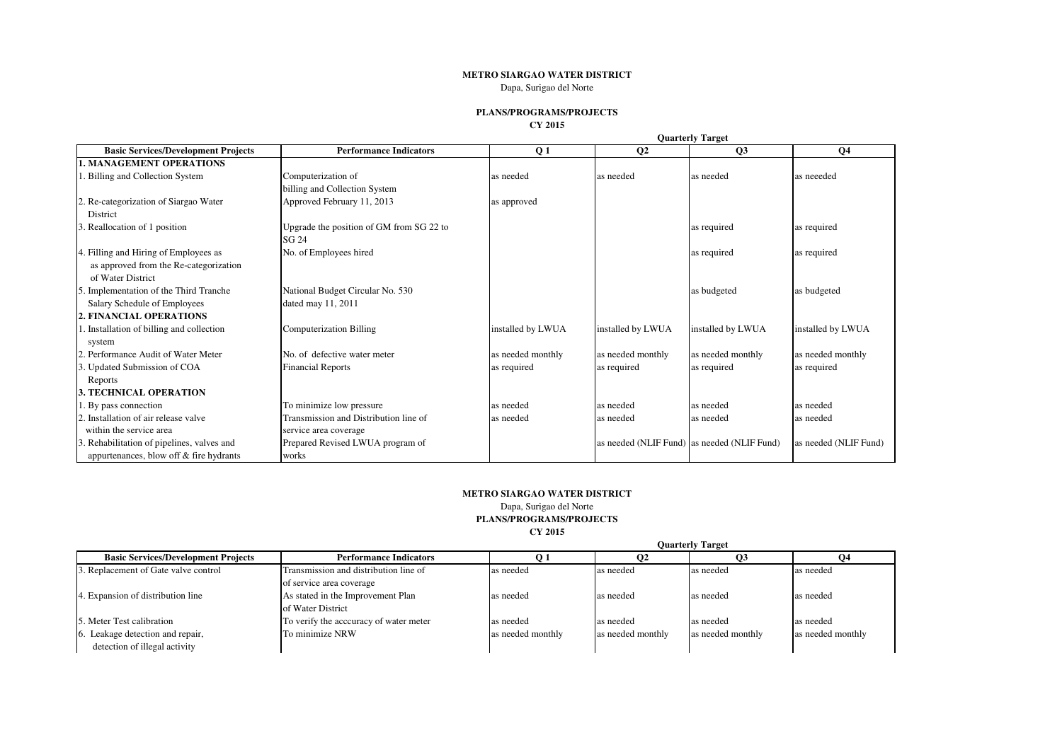## **METRO SIARGAO WATER DISTRICT**

Dapa, Surigao del Norte

## **PLANS/PROGRAMS/PROJECTS**

**CY 2015**

|                                            |                                          |                   | <b>Quarterly Target</b> |                                             |                       |  |
|--------------------------------------------|------------------------------------------|-------------------|-------------------------|---------------------------------------------|-----------------------|--|
| <b>Basic Services/Development Projects</b> | <b>Performance Indicators</b>            | Q <sub>1</sub>    | Q <sub>2</sub>          | Q3                                          | Q <sub>4</sub>        |  |
| <b>1. MANAGEMENT OPERATIONS</b>            |                                          |                   |                         |                                             |                       |  |
| Billing and Collection System              | Computerization of                       | as needed         | as needed               | as needed                                   | as neeeded            |  |
|                                            | billing and Collection System            |                   |                         |                                             |                       |  |
| 2. Re-categorization of Siargao Water      | Approved February 11, 2013               | as approved       |                         |                                             |                       |  |
| District                                   |                                          |                   |                         |                                             |                       |  |
| Reallocation of 1 position                 | Upgrade the position of GM from SG 22 to |                   |                         | as required                                 | as required           |  |
|                                            | SG 24                                    |                   |                         |                                             |                       |  |
| 4. Filling and Hiring of Employees as      | No. of Employees hired                   |                   |                         | as required                                 | as required           |  |
| as approved from the Re-categorization     |                                          |                   |                         |                                             |                       |  |
| of Water District                          |                                          |                   |                         |                                             |                       |  |
| 5. Implementation of the Third Tranche     | National Budget Circular No. 530         |                   |                         | as budgeted                                 | as budgeted           |  |
| Salary Schedule of Employees               | dated may 11, 2011                       |                   |                         |                                             |                       |  |
| 2. FINANCIAL OPERATIONS                    |                                          |                   |                         |                                             |                       |  |
| . Installation of billing and collection   | Computerization Billing                  | installed by LWUA | installed by LWUA       | installed by LWUA                           | installed by LWUA     |  |
| system                                     |                                          |                   |                         |                                             |                       |  |
| 2. Performance Audit of Water Meter        | No. of defective water meter             | as needed monthly | as needed monthly       | as needed monthly                           | as needed monthly     |  |
| 3. Updated Submission of COA               | <b>Financial Reports</b>                 | as required       | as required             | as required                                 | as required           |  |
| Reports                                    |                                          |                   |                         |                                             |                       |  |
| <b>3. TECHNICAL OPERATION</b>              |                                          |                   |                         |                                             |                       |  |
| 1. By pass connection                      | To minimize low pressure                 | as needed         | as needed               | as needed                                   | as needed             |  |
| 2. Installation of air release valve       | Transmission and Distribution line of    | as needed         | as needed               | as needed                                   | as needed             |  |
| within the service area                    | service area coverage                    |                   |                         |                                             |                       |  |
| Rehabilitation of pipelines, valves and    | Prepared Revised LWUA program of         |                   |                         | as needed (NLIF Fund) as needed (NLIF Fund) | as needed (NLIF Fund) |  |
| appurtenances, blow off & fire hydrants    | works                                    |                   |                         |                                             |                       |  |

## **METRO SIARGAO WATER DISTRICT**

Dapa, Surigao del Norte **PLANS/PROGRAMS/PROJECTS CY 2015**

|                                            |                                        | <b>Quarterly Target</b> |                   |                   |                   |
|--------------------------------------------|----------------------------------------|-------------------------|-------------------|-------------------|-------------------|
| <b>Basic Services/Development Projects</b> | <b>Performance Indicators</b>          |                         |                   |                   |                   |
| 3. Replacement of Gate valve control       | Transmission and distribution line of  | as needed               | as needed         | as needed         | as needed         |
|                                            | of service area coverage               |                         |                   |                   |                   |
| 4. Expansion of distribution line          | As stated in the Improvement Plan      | as needed               | as needed         | as needed         | as needed         |
|                                            | of Water District                      |                         |                   |                   |                   |
| 5. Meter Test calibration                  | To verify the acccuracy of water meter | as needed               | as needed         | as needed         | as needed         |
| 6. Leakage detection and repair,           | To minimize NRW                        | as needed monthly       | as needed monthly | as needed monthly | as needed monthly |
| detection of illegal activity              |                                        |                         |                   |                   |                   |